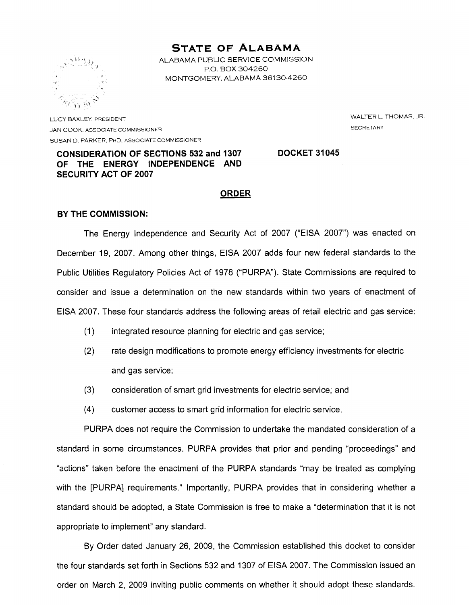# **STATE OF ALABAMA**

ALABAMA PUBLIC SERVICE COMMISSION P.O. BOX 304260 MONTGOMERY, ALABAMA 36130-4260



LUCY BAXLEY, PRESIDENT JAN COOK, ASSOCIATE COMMISSIONER SUSAN D. PARKER, PHD, ASSOCIATE COMMISSIONER WALTER L. THOMAS, JR. **SECRETARY** 

# **CONSIDERATION OF SECTIONS 532 and 1307** OF THE ENERGY INDEPENDENCE AND **SECURITY ACT OF 2007**

# **DOCKET 31045**

# **ORDER**

### **BY THE COMMISSION:**

The Energy Independence and Security Act of 2007 ("EISA 2007") was enacted on December 19, 2007. Among other things, EISA 2007 adds four new federal standards to the Public Utilities Regulatory Policies Act of 1978 ("PURPA"). State Commissions are required to consider and issue a determination on the new standards within two years of enactment of EISA 2007. These four standards address the following areas of retail electric and gas service:

- $(1)$ integrated resource planning for electric and gas service;
- $(2)$ rate design modifications to promote energy efficiency investments for electric and gas service;
- $(3)$ consideration of smart grid investments for electric service; and
- $(4)$ customer access to smart grid information for electric service.

PURPA does not require the Commission to undertake the mandated consideration of a standard in some circumstances. PURPA provides that prior and pending "proceedings" and "actions" taken before the enactment of the PURPA standards "may be treated as complying with the [PURPA] requirements." Importantly, PURPA provides that in considering whether a standard should be adopted, a State Commission is free to make a "determination that it is not appropriate to implement" any standard.

By Order dated January 26, 2009, the Commission established this docket to consider the four standards set forth in Sections 532 and 1307 of EISA 2007. The Commission issued an order on March 2, 2009 inviting public comments on whether it should adopt these standards.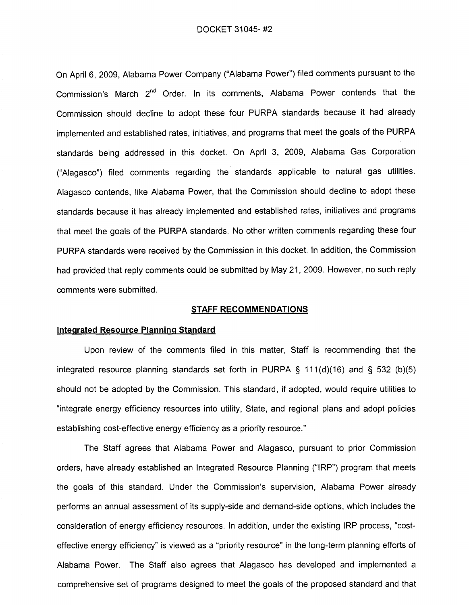DOCKET 31045-#2

On April 6, 2009, Alabama Power Company ("Alabama Power") filed comments pursuant to the Commission's March 2<sup>nd</sup> Order. In its comments, Alabama Power contends that the Commission should decline to adopt these four PURPA standards because it had already implemented and established rates, initiatives, and programs that meet the goals of the PURPA standards being addressed in this docket. On April 3, 2009, Alabama Gas Corporation ("Alagasco") filed comments regarding the standards applicable to natural gas utilities. Alagasco contends, like Alabama Power, that the Commission should decline to adopt these standards because it has already implemented and established rates, initiatives and programs that meet the goals of the PURPA standards. No other written comments regarding these four PURPA standards were received by the Commission in this docket. In addition, the Commission had provided that reply comments could be submitted by May 21, 2009. However, no such reply comments were submitted.

### STAFF RECOMMENDATIONS

#### Integrated Resource Planning Standard

Upon review of the comments filed in this matter, Staff is recommending that the integrated resource planning standards set forth in PURPA  $\S$  111(d)(16) and  $\S$  532 (b)(5) should not be adopted by the Commission. This standard, if adopted, would require utilities to "integrate energy efficiency resources into utility, State, and regional plans and adopt policies establishing cost-effective energy efficiency as a priority resource."

The Staff agrees that Alabama Power and Alagasco, pursuant to prior Commission orders, have already established an Integrated Resource Planning ("IRP") program that meets the goals of this standard. Under the Commission's supervision, Alabama Power already performs an annual assessment of its supply-side and demand-side options, which includes the consideration of energy efficiency resources. In addition, under the existing IRP process, "costeffective energy efficiency" is viewed as a "priority resource" in the long-term planning efforts of Alabama Power. The Staff also agrees that Alagasco has developed and implemented a comprehensive set of programs designed to meet the goals of the proposed standard and that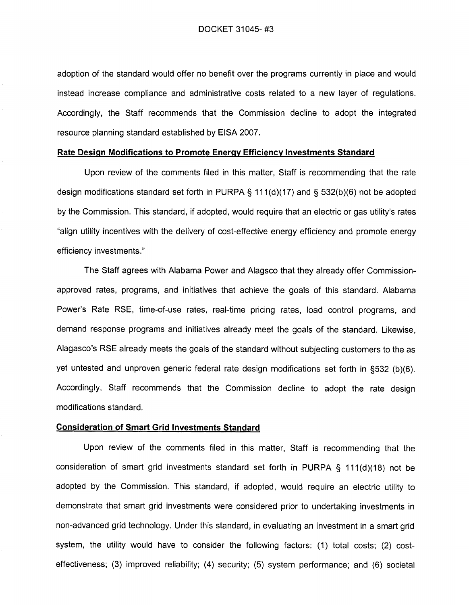adoption of the standard would offer no benefit over the programs currently in place and would instead increase compliance and administrative costs related to a new layer of requiations. Accordingly, the Staff recommends that the Commission decline to adopt the integrated resource planning standard established by EISA 2007.

### Rate Design Modifications to Promote Energy Efficiency Investments Standard

Upon review of the comments filed in this matter, Staff is recommending that the rate design modifications standard set forth in PURPA  $\S$  111(d)(17) and  $\S$  532(b)(6) not be adopted by the Commission. This standard, if adopted, would require that an electric or gas utility's rates "align utility incentives with the delivery of cost-effective energy efficiency and promote energy efficiency investments."

The Staff agrees with Alabama Power and Alagsco that they already offer Commissionapproved rates, programs, and initiatives that achieve the goals of this standard. Alabama Power's Rate RSE, time-of-use rates, real-time pricing rates, load control programs, and demand response programs and initiatives already meet the goals of the standard. Likewise, Alagasco's RSE already meets the goals of the standard without subjecting customers to the as yet untested and unproven generic federal rate design modifications set forth in §532 (b)(6). Accordingly, Staff recommends that the Commission decline to adopt the rate design modifications standard.

# **Consideration of Smart Grid Investments Standard**

Upon review of the comments filed in this matter, Staff is recommending that the consideration of smart grid investments standard set forth in PURPA § 111(d)(18) not be adopted by the Commission. This standard, if adopted, would require an electric utility to demonstrate that smart grid investments were considered prior to undertaking investments in non-advanced grid technology. Under this standard, in evaluating an investment in a smart grid system, the utility would have to consider the following factors: (1) total costs; (2) costeffectiveness; (3) improved reliability; (4) security; (5) system performance; and (6) societal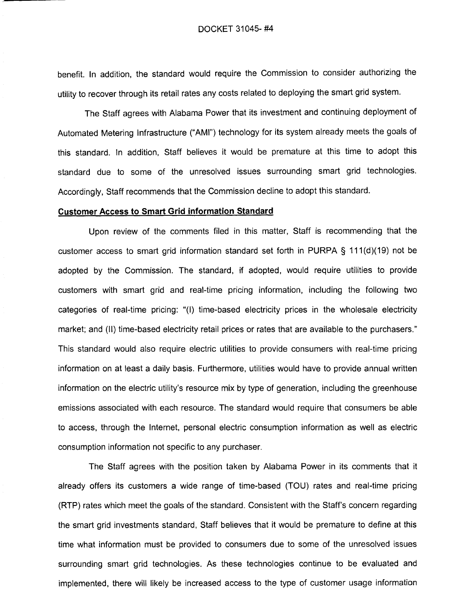benefit. In addition, the standard would require the Commission to consider authorizing the utility to recover through its retail rates any costs related to deploying the smart grid system.

The Staff agrees with Alabama Power that its investment and continuing deployment of Automated Metering Infrastructure ("AMI") technology for its system already meets the goals of this standard. In addition, Staff believes it would be premature at this time to adopt this standard due to some of the unresolved issues surrounding smart grid technologies. Accordingly, Staff recommends that the Commission decline to adopt this standard.

# **Customer Access to Smart Grid information Standard**

Upon review of the comments filed in this matter, Staff is recommending that the customer access to smart grid information standard set forth in PURPA  $\S$  111(d)(19) not be adopted by the Commission. The standard, if adopted, would require utilities to provide customers with smart grid and real-time pricing information, including the following two categories of real-time pricing: "(I) time-based electricity prices in the wholesale electricity market; and (II) time-based electricity retail prices or rates that are available to the purchasers." This standard would also require electric utilities to provide consumers with real-time pricing information on at least a daily basis. Furthermore, utilities would have to provide annual written information on the electric utility's resource mix by type of generation, including the greenhouse emissions associated with each resource. The standard would require that consumers be able to access, through the Internet, personal electric consumption information as well as electric consumption information not specific to any purchaser.

The Staff agrees with the position taken by Alabama Power in its comments that it already offers its customers a wide range of time-based (TOU) rates and real-time pricing (RTP) rates which meet the goals of the standard. Consistent with the Staff's concern regarding the smart grid investments standard, Staff believes that it would be premature to define at this time what information must be provided to consumers due to some of the unresolved issues surrounding smart grid technologies. As these technologies continue to be evaluated and implemented, there will likely be increased access to the type of customer usage information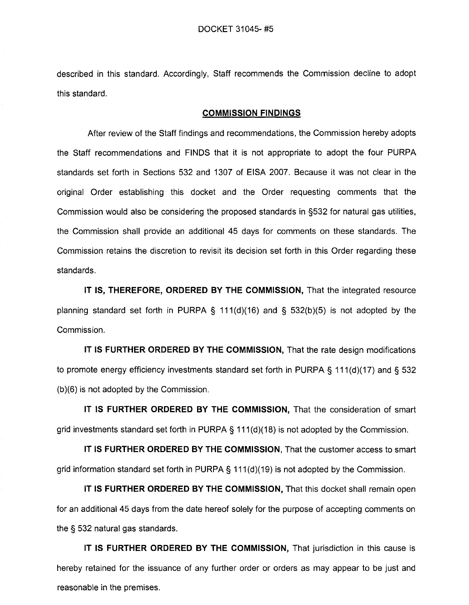described in this standard. Accordingly, Staff recommends the Commission decline to adopt this standard.

#### **COMMISSION FINDINGS**

After review of the Staff findings and recommendations, the Commission hereby adopts the Staff recommendations and FINDS that it is not appropriate to adopt the four PURPA standards set forth in Sections 532 and 1307 of EISA 2007. Because it was not clear in the original Order establishing this docket and the Order requesting comments that the Commission would also be considering the proposed standards in §532 for natural gas utilities, the Commission shall provide an additional 45 days for comments on these standards. The Commission retains the discretion to revisit its decision set forth in this Order regarding these standards.

IT IS, THEREFORE, ORDERED BY THE COMMISSION, That the integrated resource planning standard set forth in PURPA § 111(d)(16) and §  $532(b)(5)$  is not adopted by the Commission.

IT IS FURTHER ORDERED BY THE COMMISSION, That the rate design modifications to promote energy efficiency investments standard set forth in PURPA § 111(d)(17) and § 532  $(b)(6)$  is not adopted by the Commission.

IT IS FURTHER ORDERED BY THE COMMISSION, That the consideration of smart grid investments standard set forth in PURPA  $\S$  111(d)(18) is not adopted by the Commission.

IT IS FURTHER ORDERED BY THE COMMISSION, That the customer access to smart grid information standard set forth in PURPA  $\S$  111(d)(19) is not adopted by the Commission.

IT IS FURTHER ORDERED BY THE COMMISSION, That this docket shall remain open for an additional 45 days from the date hereof solely for the purpose of accepting comments on the § 532 natural gas standards.

IT IS FURTHER ORDERED BY THE COMMISSION, That jurisdiction in this cause is hereby retained for the issuance of any further order or orders as may appear to be just and reasonable in the premises.